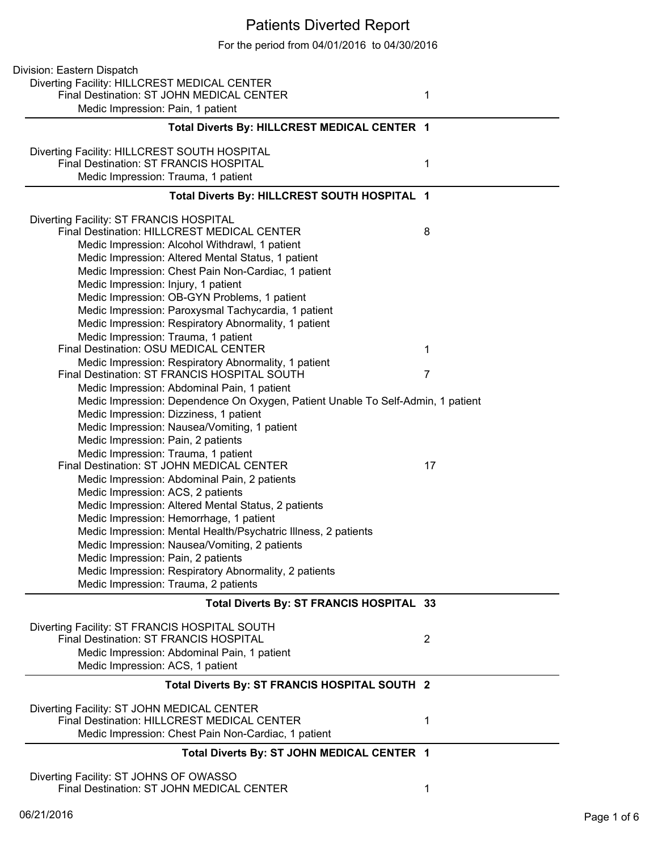## Patients Diverted Report

For the period from 04/01/2016 to 04/30/2016

| Division: Eastern Dispatch                                                                |                |
|-------------------------------------------------------------------------------------------|----------------|
| Diverting Facility: HILLCREST MEDICAL CENTER<br>Final Destination: ST JOHN MEDICAL CENTER |                |
| Medic Impression: Pain, 1 patient                                                         | 1              |
| Total Diverts By: HILLCREST MEDICAL CENTER 1                                              |                |
|                                                                                           |                |
| Diverting Facility: HILLCREST SOUTH HOSPITAL<br>Final Destination: ST FRANCIS HOSPITAL    |                |
| Medic Impression: Trauma, 1 patient                                                       | 1              |
|                                                                                           |                |
| Total Diverts By: HILLCREST SOUTH HOSPITAL 1                                              |                |
| Diverting Facility: ST FRANCIS HOSPITAL                                                   |                |
| <b>Final Destination: HILLCREST MEDICAL CENTER</b>                                        | 8              |
| Medic Impression: Alcohol Withdrawl, 1 patient                                            |                |
| Medic Impression: Altered Mental Status, 1 patient                                        |                |
| Medic Impression: Chest Pain Non-Cardiac, 1 patient                                       |                |
| Medic Impression: Injury, 1 patient                                                       |                |
| Medic Impression: OB-GYN Problems, 1 patient                                              |                |
| Medic Impression: Paroxysmal Tachycardia, 1 patient                                       |                |
| Medic Impression: Respiratory Abnormality, 1 patient                                      |                |
| Medic Impression: Trauma, 1 patient                                                       |                |
| Final Destination: OSU MEDICAL CENTER                                                     | 1              |
| Medic Impression: Respiratory Abnormality, 1 patient                                      |                |
| Final Destination: ST FRANCIS HOSPITAL SOUTH                                              | 7              |
| Medic Impression: Abdominal Pain, 1 patient                                               |                |
| Medic Impression: Dependence On Oxygen, Patient Unable To Self-Admin, 1 patient           |                |
| Medic Impression: Dizziness, 1 patient                                                    |                |
| Medic Impression: Nausea/Vomiting, 1 patient                                              |                |
|                                                                                           |                |
| Medic Impression: Pain, 2 patients                                                        |                |
| Medic Impression: Trauma, 1 patient                                                       |                |
| Final Destination: ST JOHN MEDICAL CENTER                                                 | 17             |
| Medic Impression: Abdominal Pain, 2 patients                                              |                |
| Medic Impression: ACS, 2 patients                                                         |                |
| Medic Impression: Altered Mental Status, 2 patients                                       |                |
| Medic Impression: Hemorrhage, 1 patient                                                   |                |
| Medic Impression: Mental Health/Psychatric Illness, 2 patients                            |                |
| Medic Impression: Nausea/Vomiting, 2 patients                                             |                |
| Medic Impression: Pain, 2 patients                                                        |                |
| Medic Impression: Respiratory Abnormality, 2 patients                                     |                |
| Medic Impression: Trauma, 2 patients                                                      |                |
| Total Diverts By: ST FRANCIS HOSPITAL 33                                                  |                |
| Diverting Facility: ST FRANCIS HOSPITAL SOUTH                                             |                |
| <b>Final Destination: ST FRANCIS HOSPITAL</b>                                             | $\overline{2}$ |
| Medic Impression: Abdominal Pain, 1 patient                                               |                |
| Medic Impression: ACS, 1 patient                                                          |                |
| Total Diverts By: ST FRANCIS HOSPITAL SOUTH 2                                             |                |
| Diverting Facility: ST JOHN MEDICAL CENTER                                                |                |
| Final Destination: HILLCREST MEDICAL CENTER                                               | 1              |
| Medic Impression: Chest Pain Non-Cardiac, 1 patient                                       |                |
| Total Diverts By: ST JOHN MEDICAL CENTER 1                                                |                |
| Diverting Facility: ST JOHNS OF OWASSO                                                    |                |
| Final Destination: ST JOHN MEDICAL CENTER                                                 | 1              |
|                                                                                           |                |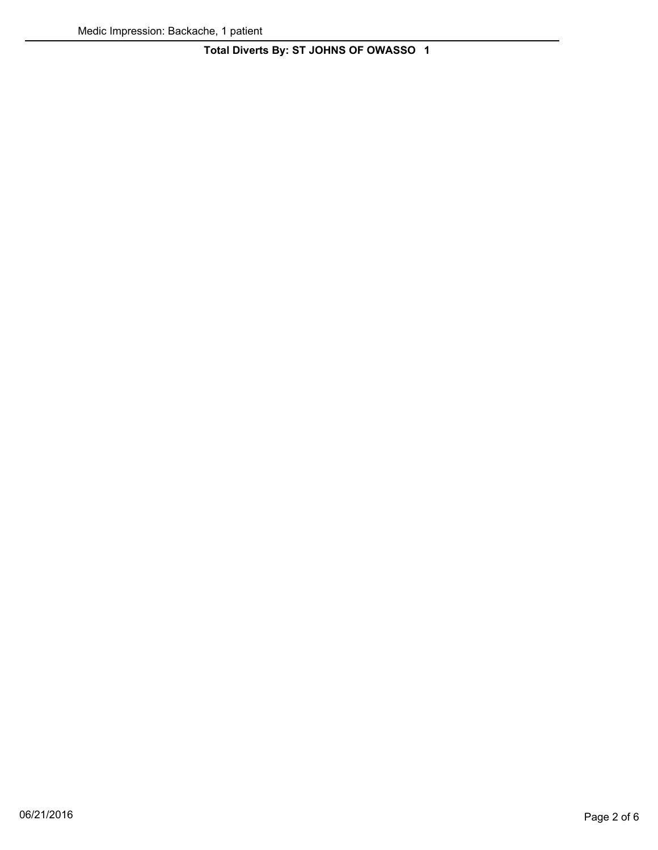**Total Diverts By: ST JOHNS OF OWASSO 1**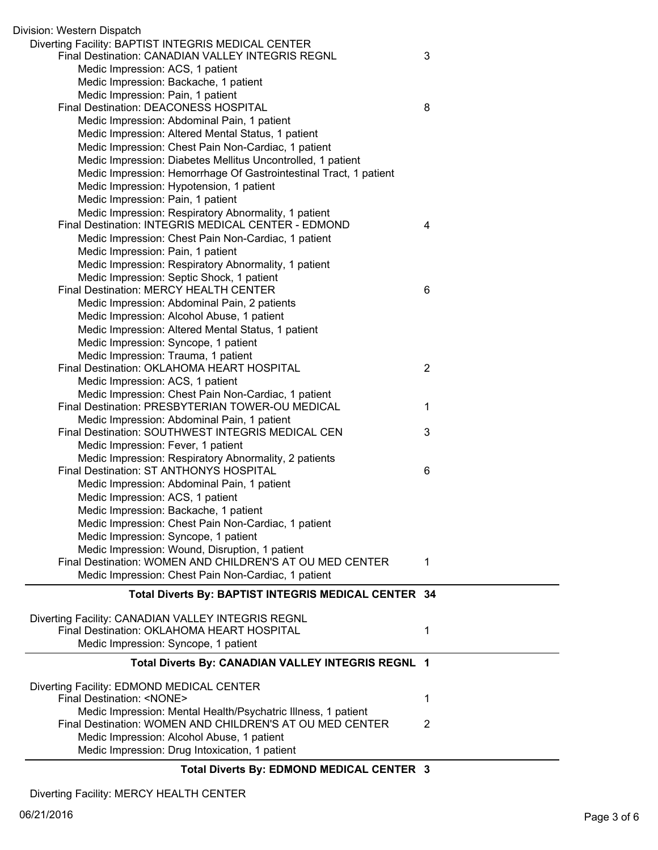| Division: Western Dispatch                                        |                |
|-------------------------------------------------------------------|----------------|
| Diverting Facility: BAPTIST INTEGRIS MEDICAL CENTER               |                |
| Final Destination: CANADIAN VALLEY INTEGRIS REGNL                 | 3              |
| Medic Impression: ACS, 1 patient                                  |                |
| Medic Impression: Backache, 1 patient                             |                |
| Medic Impression: Pain, 1 patient                                 |                |
| Final Destination: DEACONESS HOSPITAL                             | 8              |
| Medic Impression: Abdominal Pain, 1 patient                       |                |
| Medic Impression: Altered Mental Status, 1 patient                |                |
| Medic Impression: Chest Pain Non-Cardiac, 1 patient               |                |
| Medic Impression: Diabetes Mellitus Uncontrolled, 1 patient       |                |
| Medic Impression: Hemorrhage Of Gastrointestinal Tract, 1 patient |                |
| Medic Impression: Hypotension, 1 patient                          |                |
| Medic Impression: Pain, 1 patient                                 |                |
| Medic Impression: Respiratory Abnormality, 1 patient              |                |
| Final Destination: INTEGRIS MEDICAL CENTER - EDMOND               | 4              |
| Medic Impression: Chest Pain Non-Cardiac, 1 patient               |                |
| Medic Impression: Pain, 1 patient                                 |                |
| Medic Impression: Respiratory Abnormality, 1 patient              |                |
| Medic Impression: Septic Shock, 1 patient                         |                |
| Final Destination: MERCY HEALTH CENTER                            | 6              |
| Medic Impression: Abdominal Pain, 2 patients                      |                |
| Medic Impression: Alcohol Abuse, 1 patient                        |                |
| Medic Impression: Altered Mental Status, 1 patient                |                |
| Medic Impression: Syncope, 1 patient                              |                |
| Medic Impression: Trauma, 1 patient                               |                |
| Final Destination: OKLAHOMA HEART HOSPITAL                        | $\overline{2}$ |
| Medic Impression: ACS, 1 patient                                  |                |
| Medic Impression: Chest Pain Non-Cardiac, 1 patient               |                |
| Final Destination: PRESBYTERIAN TOWER-OU MEDICAL                  | 1              |
| Medic Impression: Abdominal Pain, 1 patient                       |                |
| Final Destination: SOUTHWEST INTEGRIS MEDICAL CEN                 | 3              |
| Medic Impression: Fever, 1 patient                                |                |
| Medic Impression: Respiratory Abnormality, 2 patients             |                |
| Final Destination: ST ANTHONYS HOSPITAL                           | 6              |
| Medic Impression: Abdominal Pain, 1 patient                       |                |
| Medic Impression: ACS, 1 patient                                  |                |
| Medic Impression: Backache, 1 patient                             |                |
| Medic Impression: Chest Pain Non-Cardiac, 1 patient               |                |
| Medic Impression: Syncope, 1 patient                              |                |
| Medic Impression: Wound, Disruption, 1 patient                    |                |
| Final Destination: WOMEN AND CHILDREN'S AT OU MED CENTER          | 1              |
| Medic Impression: Chest Pain Non-Cardiac, 1 patient               |                |
| Total Diverts By: BAPTIST INTEGRIS MEDICAL CENTER 34              |                |
|                                                                   |                |
| Diverting Facility: CANADIAN VALLEY INTEGRIS REGNL                |                |
| Final Destination: OKLAHOMA HEART HOSPITAL                        | 1              |
| Medic Impression: Syncope, 1 patient                              |                |
| Total Diverts By: CANADIAN VALLEY INTEGRIS REGNL 1                |                |
|                                                                   |                |
| Diverting Facility: EDMOND MEDICAL CENTER                         |                |
| Final Destination: <none></none>                                  | 1              |
| Medic Impression: Mental Health/Psychatric Illness, 1 patient     |                |
| Final Destination: WOMEN AND CHILDREN'S AT OU MED CENTER          | 2              |
| Medic Impression: Alcohol Abuse, 1 patient                        |                |
| Medic Impression: Drug Intoxication, 1 patient                    |                |

## **Total Diverts By: EDMOND MEDICAL CENTER 3**

Diverting Facility: MERCY HEALTH CENTER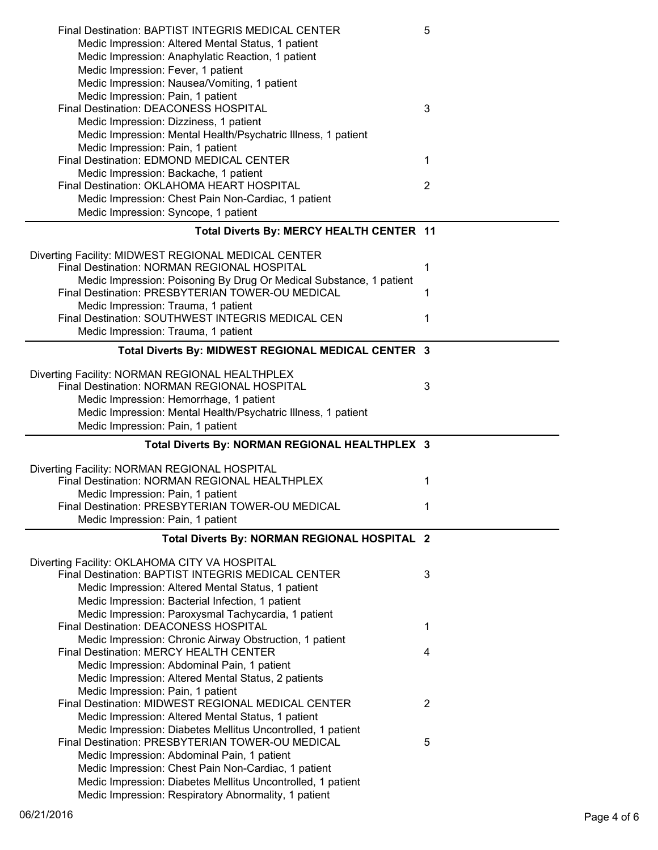| Final Destination: BAPTIST INTEGRIS MEDICAL CENTER                                                                  | 5              |
|---------------------------------------------------------------------------------------------------------------------|----------------|
| Medic Impression: Altered Mental Status, 1 patient                                                                  |                |
| Medic Impression: Anaphylatic Reaction, 1 patient                                                                   |                |
| Medic Impression: Fever, 1 patient                                                                                  |                |
| Medic Impression: Nausea/Vomiting, 1 patient                                                                        |                |
| Medic Impression: Pain, 1 patient                                                                                   |                |
| Final Destination: DEACONESS HOSPITAL                                                                               | 3              |
| Medic Impression: Dizziness, 1 patient                                                                              |                |
| Medic Impression: Mental Health/Psychatric Illness, 1 patient                                                       |                |
| Medic Impression: Pain, 1 patient                                                                                   |                |
| Final Destination: EDMOND MEDICAL CENTER                                                                            | 1              |
| Medic Impression: Backache, 1 patient                                                                               |                |
| Final Destination: OKLAHOMA HEART HOSPITAL                                                                          | $\overline{2}$ |
| Medic Impression: Chest Pain Non-Cardiac, 1 patient                                                                 |                |
| Medic Impression: Syncope, 1 patient                                                                                |                |
|                                                                                                                     |                |
| Total Diverts By: MERCY HEALTH CENTER 11                                                                            |                |
|                                                                                                                     |                |
| Diverting Facility: MIDWEST REGIONAL MEDICAL CENTER                                                                 |                |
| Final Destination: NORMAN REGIONAL HOSPITAL                                                                         | 1              |
| Medic Impression: Poisoning By Drug Or Medical Substance, 1 patient                                                 |                |
| Final Destination: PRESBYTERIAN TOWER-OU MEDICAL                                                                    | 1              |
| Medic Impression: Trauma, 1 patient                                                                                 |                |
| Final Destination: SOUTHWEST INTEGRIS MEDICAL CEN                                                                   | 1              |
| Medic Impression: Trauma, 1 patient                                                                                 |                |
| Total Diverts By: MIDWEST REGIONAL MEDICAL CENTER 3                                                                 |                |
|                                                                                                                     |                |
| Diverting Facility: NORMAN REGIONAL HEALTHPLEX                                                                      |                |
| Final Destination: NORMAN REGIONAL HOSPITAL                                                                         | 3              |
| Medic Impression: Hemorrhage, 1 patient                                                                             |                |
| Medic Impression: Mental Health/Psychatric Illness, 1 patient                                                       |                |
|                                                                                                                     |                |
|                                                                                                                     |                |
| Medic Impression: Pain, 1 patient                                                                                   |                |
| Total Diverts By: NORMAN REGIONAL HEALTHPLEX 3                                                                      |                |
|                                                                                                                     |                |
| Diverting Facility: NORMAN REGIONAL HOSPITAL                                                                        |                |
| Final Destination: NORMAN REGIONAL HEALTHPLEX                                                                       | 1              |
| Medic Impression: Pain, 1 patient                                                                                   |                |
| Final Destination: PRESBYTERIAN TOWER-OU MEDICAL                                                                    | 1.             |
| Medic Impression: Pain, 1 patient                                                                                   |                |
|                                                                                                                     |                |
| Total Diverts By: NORMAN REGIONAL HOSPITAL 2                                                                        |                |
| Diverting Facility: OKLAHOMA CITY VA HOSPITAL                                                                       |                |
| Final Destination: BAPTIST INTEGRIS MEDICAL CENTER                                                                  | 3              |
| Medic Impression: Altered Mental Status, 1 patient                                                                  |                |
|                                                                                                                     |                |
| Medic Impression: Bacterial Infection, 1 patient                                                                    |                |
| Medic Impression: Paroxysmal Tachycardia, 1 patient                                                                 | 1              |
| Final Destination: DEACONESS HOSPITAL                                                                               |                |
| Medic Impression: Chronic Airway Obstruction, 1 patient                                                             |                |
| Final Destination: MERCY HEALTH CENTER                                                                              | 4              |
| Medic Impression: Abdominal Pain, 1 patient                                                                         |                |
| Medic Impression: Altered Mental Status, 2 patients                                                                 |                |
| Medic Impression: Pain, 1 patient                                                                                   |                |
| Final Destination: MIDWEST REGIONAL MEDICAL CENTER                                                                  | 2              |
| Medic Impression: Altered Mental Status, 1 patient                                                                  |                |
| Medic Impression: Diabetes Mellitus Uncontrolled, 1 patient                                                         |                |
| Final Destination: PRESBYTERIAN TOWER-OU MEDICAL                                                                    | 5              |
| Medic Impression: Abdominal Pain, 1 patient                                                                         |                |
| Medic Impression: Chest Pain Non-Cardiac, 1 patient                                                                 |                |
| Medic Impression: Diabetes Mellitus Uncontrolled, 1 patient<br>Medic Impression: Respiratory Abnormality, 1 patient |                |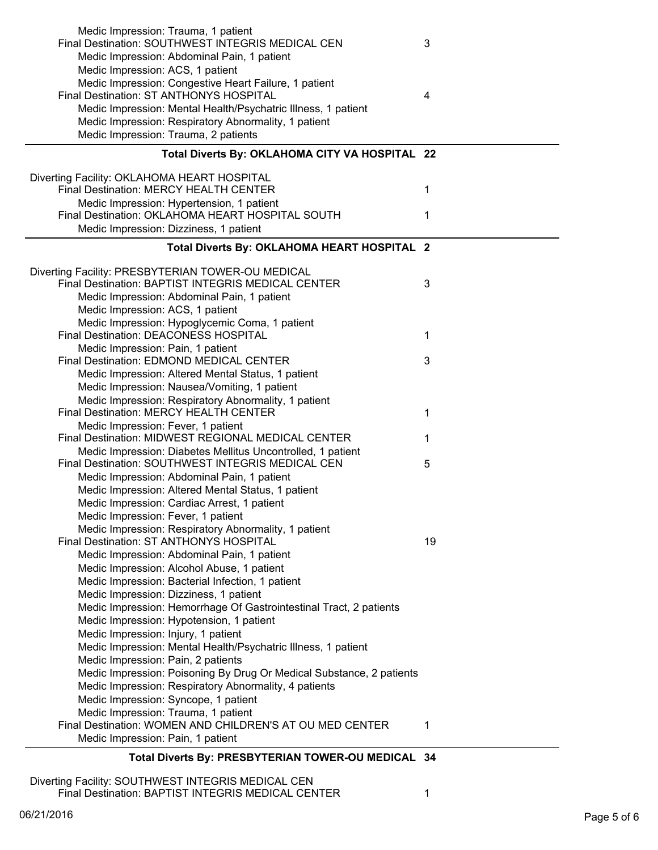| Medic Impression: Trauma, 1 patient<br>Final Destination: SOUTHWEST INTEGRIS MEDICAL CEN         | 3  |
|--------------------------------------------------------------------------------------------------|----|
|                                                                                                  |    |
| Medic Impression: Abdominal Pain, 1 patient                                                      |    |
| Medic Impression: ACS, 1 patient                                                                 |    |
| Medic Impression: Congestive Heart Failure, 1 patient<br>Final Destination: ST ANTHONYS HOSPITAL |    |
|                                                                                                  | 4  |
| Medic Impression: Mental Health/Psychatric Illness, 1 patient                                    |    |
| Medic Impression: Respiratory Abnormality, 1 patient                                             |    |
| Medic Impression: Trauma, 2 patients                                                             |    |
| Total Diverts By: OKLAHOMA CITY VA HOSPITAL 22                                                   |    |
| Diverting Facility: OKLAHOMA HEART HOSPITAL                                                      |    |
| Final Destination: MERCY HEALTH CENTER                                                           | 1  |
| Medic Impression: Hypertension, 1 patient                                                        |    |
| Final Destination: OKLAHOMA HEART HOSPITAL SOUTH                                                 | 1  |
| Medic Impression: Dizziness, 1 patient                                                           |    |
|                                                                                                  |    |
| Total Diverts By: OKLAHOMA HEART HOSPITAL 2                                                      |    |
| Diverting Facility: PRESBYTERIAN TOWER-OU MEDICAL                                                |    |
| Final Destination: BAPTIST INTEGRIS MEDICAL CENTER                                               | 3  |
| Medic Impression: Abdominal Pain, 1 patient                                                      |    |
| Medic Impression: ACS, 1 patient                                                                 |    |
| Medic Impression: Hypoglycemic Coma, 1 patient                                                   |    |
| Final Destination: DEACONESS HOSPITAL                                                            | 1  |
| Medic Impression: Pain, 1 patient                                                                |    |
| Final Destination: EDMOND MEDICAL CENTER                                                         | 3  |
| Medic Impression: Altered Mental Status, 1 patient                                               |    |
| Medic Impression: Nausea/Vomiting, 1 patient                                                     |    |
| Medic Impression: Respiratory Abnormality, 1 patient                                             |    |
| Final Destination: MERCY HEALTH CENTER                                                           | 1  |
| Medic Impression: Fever, 1 patient                                                               |    |
| Final Destination: MIDWEST REGIONAL MEDICAL CENTER                                               | 1  |
| Medic Impression: Diabetes Mellitus Uncontrolled, 1 patient                                      |    |
| Final Destination: SOUTHWEST INTEGRIS MEDICAL CEN                                                | 5  |
| Medic Impression: Abdominal Pain, 1 patient                                                      |    |
| Medic Impression: Altered Mental Status, 1 patient                                               |    |
| Medic Impression: Cardiac Arrest, 1 patient                                                      |    |
| Medic Impression: Fever, 1 patient                                                               |    |
| Medic Impression: Respiratory Abnormality, 1 patient                                             |    |
| Final Destination: ST ANTHONYS HOSPITAL                                                          | 19 |
| Medic Impression: Abdominal Pain, 1 patient                                                      |    |
| Medic Impression: Alcohol Abuse, 1 patient                                                       |    |
| Medic Impression: Bacterial Infection, 1 patient                                                 |    |
| Medic Impression: Dizziness, 1 patient                                                           |    |
| Medic Impression: Hemorrhage Of Gastrointestinal Tract, 2 patients                               |    |
| Medic Impression: Hypotension, 1 patient                                                         |    |
| Medic Impression: Injury, 1 patient                                                              |    |
| Medic Impression: Mental Health/Psychatric Illness, 1 patient                                    |    |
| Medic Impression: Pain, 2 patients                                                               |    |
| Medic Impression: Poisoning By Drug Or Medical Substance, 2 patients                             |    |
| Medic Impression: Respiratory Abnormality, 4 patients                                            |    |
| Medic Impression: Syncope, 1 patient                                                             |    |
| Medic Impression: Trauma, 1 patient                                                              |    |
| Final Destination: WOMEN AND CHILDREN'S AT OU MED CENTER                                         | 1  |
|                                                                                                  |    |
| Medic Impression: Pain, 1 patient                                                                |    |

## **Total Diverts By: PRESBYTERIAN TOWER-OU MEDICAL 34**

Diverting Facility: SOUTHWEST INTEGRIS MEDICAL CEN Final Destination: BAPTIST INTEGRIS MEDICAL CENTER 1